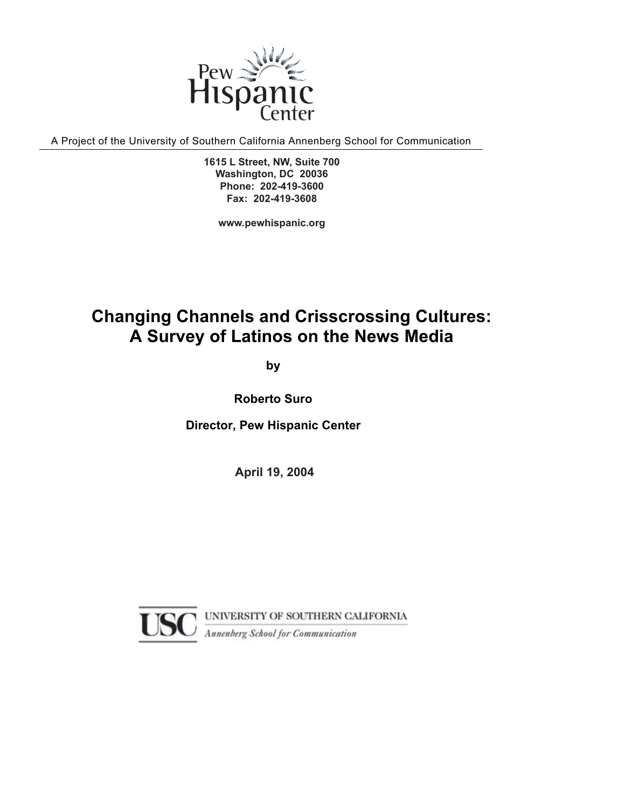

A Project of the University of Southern California Annenberg School for Communication

1919 M Street, NW, Suite 460 **1615 L Street, NW, Suite 700** Phone: 202-419-3600 Tel: 202.452.1702 **Fax: 202-419-3608 Washington, DC 20036**

> Fax: 202.785.8282 www.pewhispanic.org **www.pewhispanic.org**

## **Changing Channels and Crisscrossing Cultures: A Survey of Latinos on the News Media**

**by**

**Roberto Suro** 

**Director, Pew Hispanic Center** 

**April 2004 April 19, 2004**

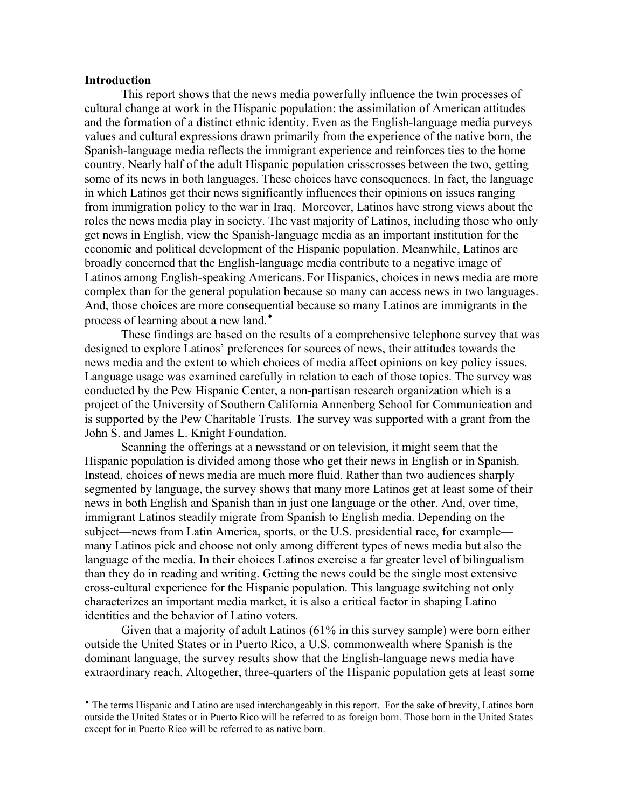#### **Introduction**

 $\overline{a}$ 

This report shows that the news media powerfully influence the twin processes of cultural change at work in the Hispanic population: the assimilation of American attitudes and the formation of a distinct ethnic identity. Even as the English-language media purveys values and cultural expressions drawn primarily from the experience of the native born, the Spanish-language media reflects the immigrant experience and reinforces ties to the home country. Nearly half of the adult Hispanic population crisscrosses between the two, getting some of its news in both languages. These choices have consequences. In fact, the language in which Latinos get their news significantly influences their opinions on issues ranging from immigration policy to the war in Iraq. Moreover, Latinos have strong views about the roles the news media play in society. The vast majority of Latinos, including those who only get news in English, view the Spanish-language media as an important institution for the economic and political development of the Hispanic population. Meanwhile, Latinos are broadly concerned that the English-language media contribute to a negative image of Latinos among English-speaking Americans. For Hispanics, choices in news media are more complex than for the general population because so many can access news in two languages. And, those choices are more consequential because so many Latinos are immigrants in the process of learning about a new land.♦

 These findings are based on the results of a comprehensive telephone survey that was designed to explore Latinos' preferences for sources of news, their attitudes towards the news media and the extent to which choices of media affect opinions on key policy issues. Language usage was examined carefully in relation to each of those topics. The survey was conducted by the Pew Hispanic Center, a non-partisan research organization which is a project of the University of Southern California Annenberg School for Communication and is supported by the Pew Charitable Trusts. The survey was supported with a grant from the John S. and James L. Knight Foundation.

 Scanning the offerings at a newsstand or on television, it might seem that the Hispanic population is divided among those who get their news in English or in Spanish. Instead, choices of news media are much more fluid. Rather than two audiences sharply segmented by language, the survey shows that many more Latinos get at least some of their news in both English and Spanish than in just one language or the other. And, over time, immigrant Latinos steadily migrate from Spanish to English media. Depending on the subject—news from Latin America, sports, or the U.S. presidential race, for example many Latinos pick and choose not only among different types of news media but also the language of the media. In their choices Latinos exercise a far greater level of bilingualism than they do in reading and writing. Getting the news could be the single most extensive cross-cultural experience for the Hispanic population. This language switching not only characterizes an important media market, it is also a critical factor in shaping Latino identities and the behavior of Latino voters.

 Given that a majority of adult Latinos (61% in this survey sample) were born either outside the United States or in Puerto Rico, a U.S. commonwealth where Spanish is the dominant language, the survey results show that the English-language news media have extraordinary reach. Altogether, three-quarters of the Hispanic population gets at least some

<sup>♦</sup> The terms Hispanic and Latino are used interchangeably in this report. For the sake of brevity, Latinos born outside the United States or in Puerto Rico will be referred to as foreign born. Those born in the United States except for in Puerto Rico will be referred to as native born.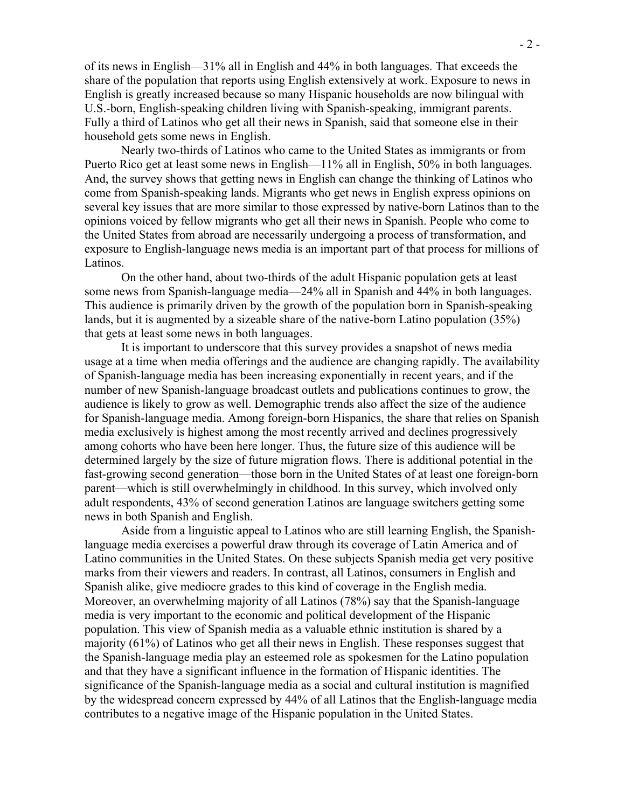of its news in English—31% all in English and 44% in both languages. That exceeds the share of the population that reports using English extensively at work. Exposure to news in English is greatly increased because so many Hispanic households are now bilingual with U.S.-born, English-speaking children living with Spanish-speaking, immigrant parents. Fully a third of Latinos who get all their news in Spanish, said that someone else in their household gets some news in English.

Nearly two-thirds of Latinos who came to the United States as immigrants or from Puerto Rico get at least some news in English—11% all in English, 50% in both languages. And, the survey shows that getting news in English can change the thinking of Latinos who come from Spanish-speaking lands. Migrants who get news in English express opinions on several key issues that are more similar to those expressed by native-born Latinos than to the opinions voiced by fellow migrants who get all their news in Spanish. People who come to the United States from abroad are necessarily undergoing a process of transformation, and exposure to English-language news media is an important part of that process for millions of Latinos.

 On the other hand, about two-thirds of the adult Hispanic population gets at least some news from Spanish-language media—24% all in Spanish and 44% in both languages. This audience is primarily driven by the growth of the population born in Spanish-speaking lands, but it is augmented by a sizeable share of the native-born Latino population (35%) that gets at least some news in both languages.

It is important to underscore that this survey provides a snapshot of news media usage at a time when media offerings and the audience are changing rapidly. The availability of Spanish-language media has been increasing exponentially in recent years, and if the number of new Spanish-language broadcast outlets and publications continues to grow, the audience is likely to grow as well. Demographic trends also affect the size of the audience for Spanish-language media. Among foreign-born Hispanics, the share that relies on Spanish media exclusively is highest among the most recently arrived and declines progressively among cohorts who have been here longer. Thus, the future size of this audience will be determined largely by the size of future migration flows. There is additional potential in the fast-growing second generation—those born in the United States of at least one foreign-born parent—which is still overwhelmingly in childhood. In this survey, which involved only adult respondents, 43% of second generation Latinos are language switchers getting some news in both Spanish and English.

 Aside from a linguistic appeal to Latinos who are still learning English, the Spanishlanguage media exercises a powerful draw through its coverage of Latin America and of Latino communities in the United States. On these subjects Spanish media get very positive marks from their viewers and readers. In contrast, all Latinos, consumers in English and Spanish alike, give mediocre grades to this kind of coverage in the English media. Moreover, an overwhelming majority of all Latinos (78%) say that the Spanish-language media is very important to the economic and political development of the Hispanic population. This view of Spanish media as a valuable ethnic institution is shared by a majority (61%) of Latinos who get all their news in English. These responses suggest that the Spanish-language media play an esteemed role as spokesmen for the Latino population and that they have a significant influence in the formation of Hispanic identities. The significance of the Spanish-language media as a social and cultural institution is magnified by the widespread concern expressed by 44% of all Latinos that the English-language media contributes to a negative image of the Hispanic population in the United States.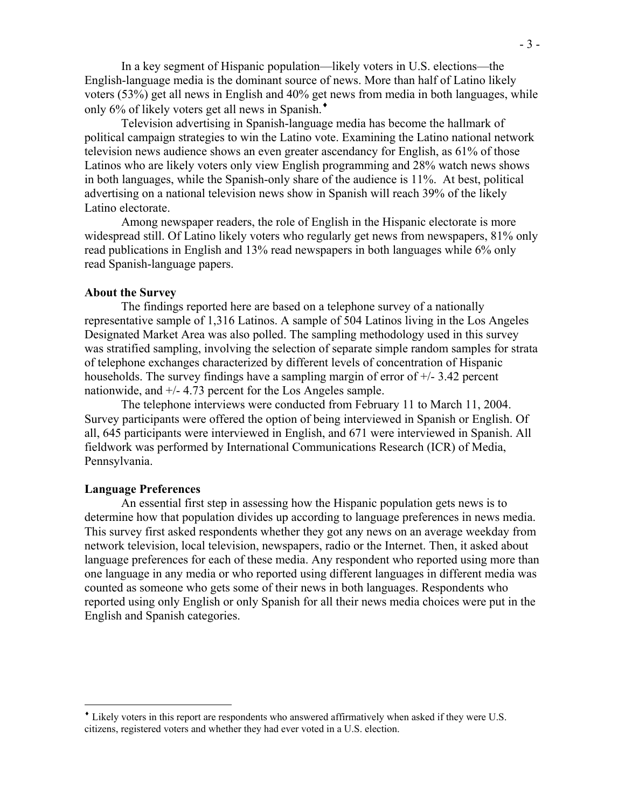In a key segment of Hispanic population—likely voters in U.S. elections—the English-language media is the dominant source of news. More than half of Latino likely voters (53%) get all news in English and 40% get news from media in both languages, while only 6% of likely voters get all news in Spanish.♦

Television advertising in Spanish-language media has become the hallmark of political campaign strategies to win the Latino vote. Examining the Latino national network television news audience shows an even greater ascendancy for English, as 61% of those Latinos who are likely voters only view English programming and 28% watch news shows in both languages, while the Spanish-only share of the audience is 11%. At best, political advertising on a national television news show in Spanish will reach 39% of the likely Latino electorate.

Among newspaper readers, the role of English in the Hispanic electorate is more widespread still. Of Latino likely voters who regularly get news from newspapers, 81% only read publications in English and 13% read newspapers in both languages while 6% only read Spanish-language papers.

#### **About the Survey**

The findings reported here are based on a telephone survey of a nationally representative sample of 1,316 Latinos. A sample of 504 Latinos living in the Los Angeles Designated Market Area was also polled. The sampling methodology used in this survey was stratified sampling, involving the selection of separate simple random samples for strata of telephone exchanges characterized by different levels of concentration of Hispanic households. The survey findings have a sampling margin of error of  $+/- 3.42$  percent nationwide, and +/- 4.73 percent for the Los Angeles sample.

The telephone interviews were conducted from February 11 to March 11, 2004. Survey participants were offered the option of being interviewed in Spanish or English. Of all, 645 participants were interviewed in English, and 671 were interviewed in Spanish. All fieldwork was performed by International Communications Research (ICR) of Media, Pennsylvania.

#### **Language Preferences**

 $\overline{a}$ 

 An essential first step in assessing how the Hispanic population gets news is to determine how that population divides up according to language preferences in news media. This survey first asked respondents whether they got any news on an average weekday from network television, local television, newspapers, radio or the Internet. Then, it asked about language preferences for each of these media. Any respondent who reported using more than one language in any media or who reported using different languages in different media was counted as someone who gets some of their news in both languages. Respondents who reported using only English or only Spanish for all their news media choices were put in the English and Spanish categories.

<sup>♦</sup> Likely voters in this report are respondents who answered affirmatively when asked if they were U.S. citizens, registered voters and whether they had ever voted in a U.S. election.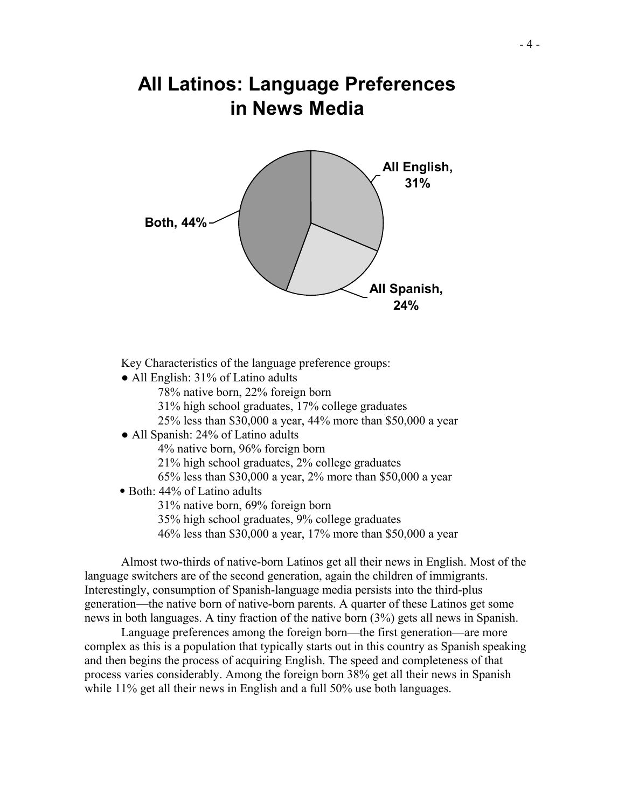# **All Latinos: Language Preferences in News Media**



Key Characteristics of the language preference groups:

- All English: 31% of Latino adults
	- 78% native born, 22% foreign born
	- 31% high school graduates, 17% college graduates
	- 25% less than \$30,000 a year, 44% more than \$50,000 a year
- All Spanish: 24% of Latino adults
	- 4% native born, 96% foreign born
	- 21% high school graduates, 2% college graduates
	- 65% less than \$30,000 a year, 2% more than \$50,000 a year
- Both: 44% of Latino adults
	- 31% native born, 69% foreign born
	- 35% high school graduates, 9% college graduates
	- 46% less than \$30,000 a year, 17% more than \$50,000 a year

 Almost two-thirds of native-born Latinos get all their news in English. Most of the language switchers are of the second generation, again the children of immigrants. Interestingly, consumption of Spanish-language media persists into the third-plus generation—the native born of native-born parents. A quarter of these Latinos get some news in both languages. A tiny fraction of the native born (3%) gets all news in Spanish.

 Language preferences among the foreign born—the first generation—are more complex as this is a population that typically starts out in this country as Spanish speaking and then begins the process of acquiring English. The speed and completeness of that process varies considerably. Among the foreign born 38% get all their news in Spanish while 11% get all their news in English and a full 50% use both languages.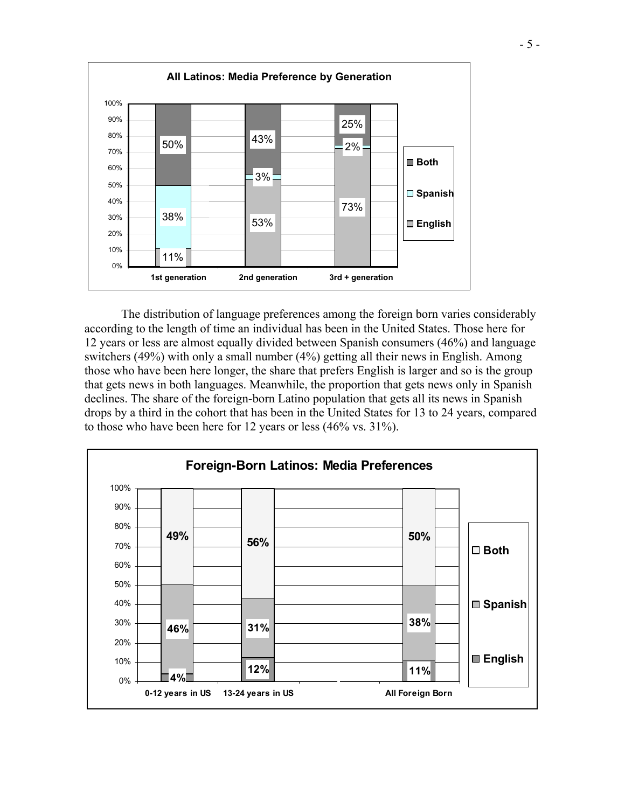

The distribution of language preferences among the foreign born varies considerably according to the length of time an individual has been in the United States. Those here for 12 years or less are almost equally divided between Spanish consumers (46%) and language switchers (49%) with only a small number (4%) getting all their news in English. Among those who have been here longer, the share that prefers English is larger and so is the group that gets news in both languages. Meanwhile, the proportion that gets news only in Spanish declines. The share of the foreign-born Latino population that gets all its news in Spanish drops by a third in the cohort that has been in the United States for 13 to 24 years, compared to those who have been here for 12 years or less (46% vs. 31%).

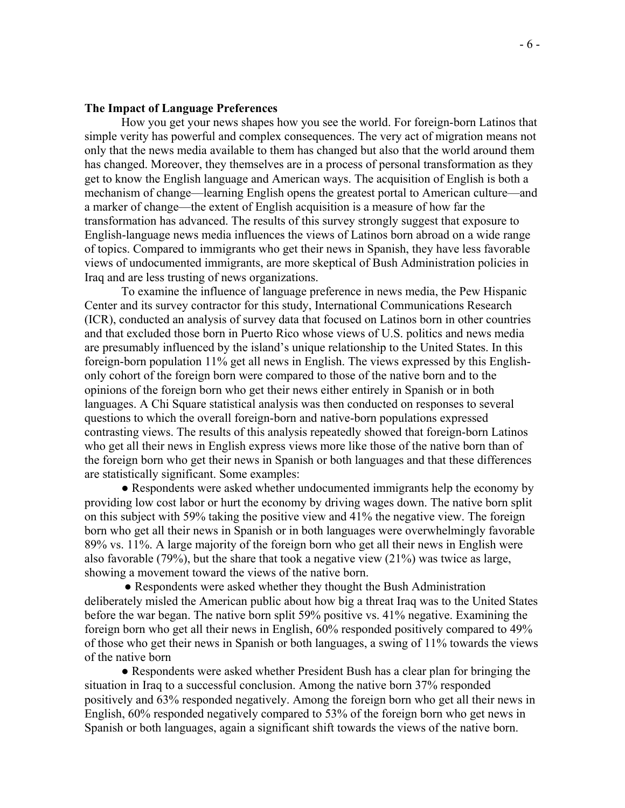#### **The Impact of Language Preferences**

How you get your news shapes how you see the world. For foreign-born Latinos that simple verity has powerful and complex consequences. The very act of migration means not only that the news media available to them has changed but also that the world around them has changed. Moreover, they themselves are in a process of personal transformation as they get to know the English language and American ways. The acquisition of English is both a mechanism of change—learning English opens the greatest portal to American culture—and a marker of change—the extent of English acquisition is a measure of how far the transformation has advanced. The results of this survey strongly suggest that exposure to English-language news media influences the views of Latinos born abroad on a wide range of topics. Compared to immigrants who get their news in Spanish, they have less favorable views of undocumented immigrants, are more skeptical of Bush Administration policies in Iraq and are less trusting of news organizations.

To examine the influence of language preference in news media, the Pew Hispanic Center and its survey contractor for this study, International Communications Research (ICR), conducted an analysis of survey data that focused on Latinos born in other countries and that excluded those born in Puerto Rico whose views of U.S. politics and news media are presumably influenced by the island's unique relationship to the United States. In this foreign-born population 11% get all news in English. The views expressed by this Englishonly cohort of the foreign born were compared to those of the native born and to the opinions of the foreign born who get their news either entirely in Spanish or in both languages. A Chi Square statistical analysis was then conducted on responses to several questions to which the overall foreign-born and native-born populations expressed contrasting views. The results of this analysis repeatedly showed that foreign-born Latinos who get all their news in English express views more like those of the native born than of the foreign born who get their news in Spanish or both languages and that these differences are statistically significant. Some examples:

• Respondents were asked whether undocumented immigrants help the economy by providing low cost labor or hurt the economy by driving wages down. The native born split on this subject with 59% taking the positive view and 41% the negative view. The foreign born who get all their news in Spanish or in both languages were overwhelmingly favorable 89% vs. 11%. A large majority of the foreign born who get all their news in English were also favorable (79%), but the share that took a negative view (21%) was twice as large, showing a movement toward the views of the native born.

• Respondents were asked whether they thought the Bush Administration deliberately misled the American public about how big a threat Iraq was to the United States before the war began. The native born split 59% positive vs. 41% negative. Examining the foreign born who get all their news in English, 60% responded positively compared to 49% of those who get their news in Spanish or both languages, a swing of 11% towards the views of the native born

● Respondents were asked whether President Bush has a clear plan for bringing the situation in Iraq to a successful conclusion. Among the native born 37% responded positively and 63% responded negatively. Among the foreign born who get all their news in English, 60% responded negatively compared to 53% of the foreign born who get news in Spanish or both languages, again a significant shift towards the views of the native born.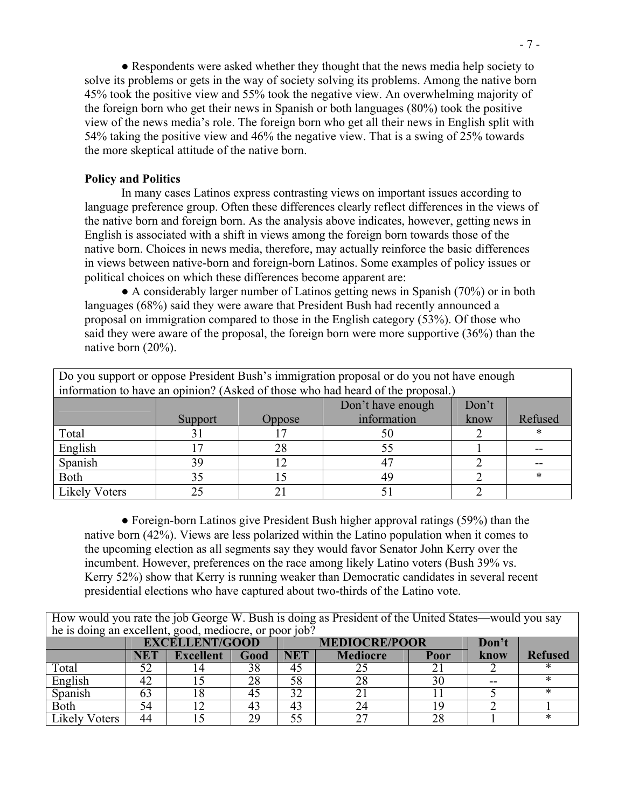● Respondents were asked whether they thought that the news media help society to solve its problems or gets in the way of society solving its problems. Among the native born 45% took the positive view and 55% took the negative view. An overwhelming majority of the foreign born who get their news in Spanish or both languages (80%) took the positive view of the news media's role. The foreign born who get all their news in English split with 54% taking the positive view and 46% the negative view. That is a swing of 25% towards the more skeptical attitude of the native born.

#### **Policy and Politics**

In many cases Latinos express contrasting views on important issues according to language preference group. Often these differences clearly reflect differences in the views of the native born and foreign born. As the analysis above indicates, however, getting news in English is associated with a shift in views among the foreign born towards those of the native born. Choices in news media, therefore, may actually reinforce the basic differences in views between native-born and foreign-born Latinos. Some examples of policy issues or political choices on which these differences become apparent are:

● A considerably larger number of Latinos getting news in Spanish (70%) or in both languages (68%) said they were aware that President Bush had recently announced a proposal on immigration compared to those in the English category (53%). Of those who said they were aware of the proposal, the foreign born were more supportive (36%) than the native born (20%).

| Do you support or oppose President Bush's immigration proposal or do you not have enough |         |                            |                                                                                 |      |         |  |  |
|------------------------------------------------------------------------------------------|---------|----------------------------|---------------------------------------------------------------------------------|------|---------|--|--|
|                                                                                          |         |                            | information to have an opinion? (Asked of those who had heard of the proposal.) |      |         |  |  |
|                                                                                          |         | Don't have enough<br>Don't |                                                                                 |      |         |  |  |
|                                                                                          | Support | <b>Oppose</b>              | information                                                                     | know | Refused |  |  |
| Total                                                                                    |         |                            | 50                                                                              |      | ∗       |  |  |
| English                                                                                  |         | 28                         | 55                                                                              |      |         |  |  |
| Spanish                                                                                  | 39      |                            | 47                                                                              |      |         |  |  |
| Both                                                                                     | 35      |                            | 49                                                                              |      | *       |  |  |
| <b>Likely Voters</b>                                                                     |         |                            |                                                                                 |      |         |  |  |

● Foreign-born Latinos give President Bush higher approval ratings (59%) than the native born (42%). Views are less polarized within the Latino population when it comes to the upcoming election as all segments say they would favor Senator John Kerry over the incumbent. However, preferences on the race among likely Latino voters (Bush 39% vs. Kerry 52%) show that Kerry is running weaker than Democratic candidates in several recent presidential elections who have captured about two-thirds of the Latino vote.

How would you rate the job George W. Bush is doing as President of the United States—would you say he is doing an excellent, good, mediocre, or poor job?

|                | $\frac{1}{2}$ to woming the view viewing good, invariance, or poor foot. |                  |      |                      |                 |          |       |                |
|----------------|--------------------------------------------------------------------------|------------------|------|----------------------|-----------------|----------|-------|----------------|
|                | <b>EXCELLENT/GOOD</b>                                                    |                  |      | <b>MEDIOCRE/POOR</b> |                 |          |       |                |
|                | <b>NET</b>                                                               | <b>Excellent</b> | Good | NET                  | <b>Mediocre</b> | Poor     | know  | <b>Refused</b> |
| Total          | 52                                                                       |                  | 38   |                      | ∠~              |          |       |                |
| English        | 42                                                                       |                  |      | 58                   | 28              | 30       | $- -$ |                |
| Spanish        | ნე                                                                       |                  | 40   |                      |                 |          |       |                |
| Both           | 54                                                                       |                  |      |                      |                 |          |       |                |
| ikely<br>oters | 44                                                                       |                  | 29   |                      | ^^              | ററ<br>20 |       |                |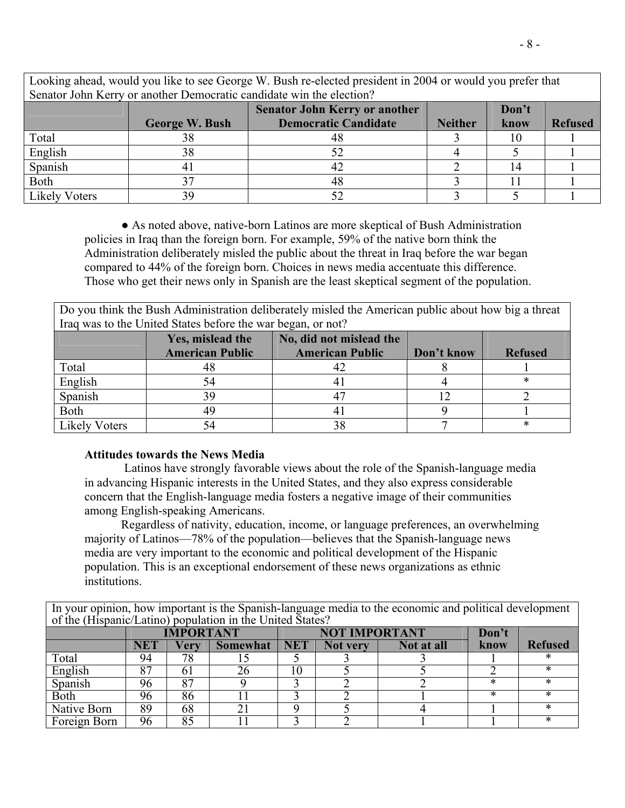| Looking ahead, would you like to see George W. Bush re-elected president in 2004 or would you prefer that |                                                                      |                                               |                |      |                |  |  |
|-----------------------------------------------------------------------------------------------------------|----------------------------------------------------------------------|-----------------------------------------------|----------------|------|----------------|--|--|
|                                                                                                           | Senator John Kerry or another Democratic candidate win the election? |                                               |                |      |                |  |  |
|                                                                                                           |                                                                      | <b>Senator John Kerry or another</b><br>Don't |                |      |                |  |  |
|                                                                                                           | <b>George W. Bush</b>                                                | <b>Democratic Candidate</b>                   | <b>Neither</b> | know | <b>Refused</b> |  |  |
| Total                                                                                                     | 38                                                                   | 48                                            |                | 10   |                |  |  |
| English                                                                                                   | 38                                                                   |                                               |                |      |                |  |  |
| Spanish                                                                                                   |                                                                      | 42                                            |                | 14   |                |  |  |
| Both                                                                                                      | 37                                                                   | 48                                            |                |      |                |  |  |
| <b>Likely Voters</b>                                                                                      | 39                                                                   |                                               |                |      |                |  |  |

● As noted above, native-born Latinos are more skeptical of Bush Administration policies in Iraq than the foreign born. For example, 59% of the native born think the Administration deliberately misled the public about the threat in Iraq before the war began compared to 44% of the foreign born. Choices in news media accentuate this difference. Those who get their news only in Spanish are the least skeptical segment of the population.

Do you think the Bush Administration deliberately misled the American public about how big a threat Iraq was to the United States before the war began, or not?

|                      | Yes, mislead the<br><b>American Public</b> | No, did not mislead the<br><b>American Public</b> | Don't know | <b>Refused</b> |
|----------------------|--------------------------------------------|---------------------------------------------------|------------|----------------|
| Total                |                                            |                                                   |            |                |
| English              |                                            |                                                   |            | ∗              |
| Spanish              | 39                                         |                                                   |            |                |
| Both                 | 49                                         |                                                   |            |                |
| <b>Likely Voters</b> |                                            | 38                                                |            | ∗              |

#### **Attitudes towards the News Media**

 Latinos have strongly favorable views about the role of the Spanish-language media in advancing Hispanic interests in the United States, and they also express considerable concern that the English-language media fosters a negative image of their communities among English-speaking Americans.

 Regardless of nativity, education, income, or language preferences, an overwhelming majority of Latinos—78% of the population—believes that the Spanish-language news media are very important to the economic and political development of the Hispanic population. This is an exceptional endorsement of these news organizations as ethnic institutions.

In your opinion, how important is the Spanish-language media to the economic and political development of the (Hispanic/Latino) population in the United States?

|              | <b>IMPORTANT</b> |      |                 |            | <b>NOT IMPORTANT</b> |            |      |                |
|--------------|------------------|------|-----------------|------------|----------------------|------------|------|----------------|
|              | <b>NET</b>       | Very | <b>Somewhat</b> | <b>NET</b> | Not very             | Not at all | know | <b>Refused</b> |
| Total        | 94               | 78   |                 |            |                      |            |      |                |
| English      | o 7              | 01   | 26              | 10         |                      |            |      |                |
| Spanish      | 96               | 87   |                 |            |                      |            |      |                |
| Both         | 96               | 86   |                 |            |                      |            |      |                |
| Native Born  | 89               | 68   |                 |            |                      |            |      |                |
| Foreign Born | 96               | 85   |                 |            |                      |            |      |                |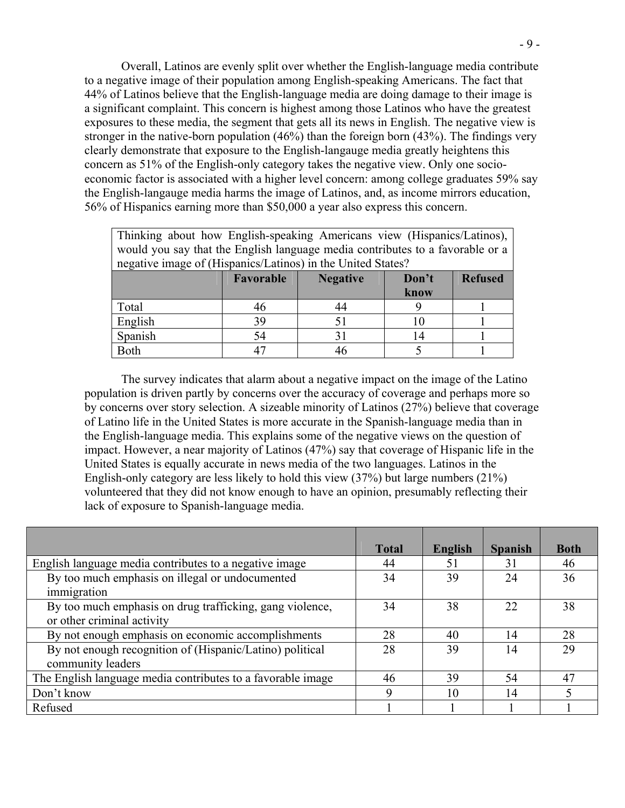Overall, Latinos are evenly split over whether the English-language media contribute to a negative image of their population among English-speaking Americans. The fact that 44% of Latinos believe that the English-language media are doing damage to their image is a significant complaint. This concern is highest among those Latinos who have the greatest exposures to these media, the segment that gets all its news in English. The negative view is stronger in the native-born population (46%) than the foreign born (43%). The findings very clearly demonstrate that exposure to the English-langauge media greatly heightens this concern as 51% of the English-only category takes the negative view. Only one socioeconomic factor is associated with a higher level concern: among college graduates 59% say the English-langauge media harms the image of Latinos, and, as income mirrors education, 56% of Hispanics earning more than \$50,000 a year also express this concern.

| Thinking about how English-speaking Americans view (Hispanics/Latinos),       |           |                 |       |                |  |
|-------------------------------------------------------------------------------|-----------|-----------------|-------|----------------|--|
| would you say that the English language media contributes to a favorable or a |           |                 |       |                |  |
| negative image of (Hispanics/Latinos) in the United States?                   |           |                 |       |                |  |
|                                                                               | Favorable | <b>Negative</b> | Don't | <b>Refused</b> |  |
|                                                                               |           |                 | know  |                |  |
| Total                                                                         | 46        | 44              |       |                |  |
| English                                                                       | 39        | 51              |       |                |  |
| Spanish                                                                       | 54        | 31              |       |                |  |
| Both                                                                          | 47        | 46              |       |                |  |

 The survey indicates that alarm about a negative impact on the image of the Latino population is driven partly by concerns over the accuracy of coverage and perhaps more so by concerns over story selection. A sizeable minority of Latinos (27%) believe that coverage of Latino life in the United States is more accurate in the Spanish-language media than in the English-language media. This explains some of the negative views on the question of impact. However, a near majority of Latinos (47%) say that coverage of Hispanic life in the United States is equally accurate in news media of the two languages. Latinos in the English-only category are less likely to hold this view (37%) but large numbers (21%) volunteered that they did not know enough to have an opinion, presumably reflecting their lack of exposure to Spanish-language media.

|                                                             | <b>Total</b> | English | <b>Spanish</b> | <b>Both</b> |
|-------------------------------------------------------------|--------------|---------|----------------|-------------|
| English language media contributes to a negative image      | 44           | 51      | 31             | 46          |
| By too much emphasis on illegal or undocumented             | 34           | 39      | 24             | 36          |
| immigration                                                 |              |         |                |             |
| By too much emphasis on drug trafficking, gang violence,    | 34           | 38      | 22             | 38          |
| or other criminal activity                                  |              |         |                |             |
| By not enough emphasis on economic accomplishments          | 28           | 40      | 14             | 28          |
| By not enough recognition of (Hispanic/Latino) political    | 28           | 39      | 14             | 29          |
| community leaders                                           |              |         |                |             |
| The English language media contributes to a favorable image | 46           | 39      | 54             | 47          |
| Don't know                                                  | 9            | 10      | 14             |             |
| Refused                                                     |              |         |                |             |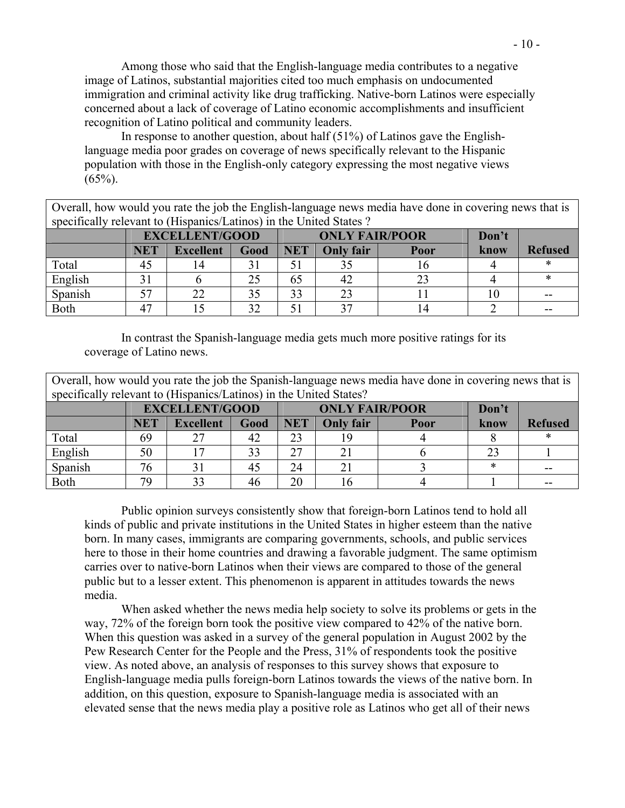Among those who said that the English-language media contributes to a negative image of Latinos, substantial majorities cited too much emphasis on undocumented immigration and criminal activity like drug trafficking. Native-born Latinos were especially concerned about a lack of coverage of Latino economic accomplishments and insufficient recognition of Latino political and community leaders.

In response to another question, about half (51%) of Latinos gave the Englishlanguage media poor grades on coverage of news specifically relevant to the Hispanic population with those in the English-only category expressing the most negative views  $(65\%)$ .

Overall, how would you rate the job the English-language news media have done in covering news that is specifically relevant to (Hispanics/Latinos) in the United States ?

|             | <b>EXCELLENT/GOOD</b> |                  |      |            | <b>ONLY FAIR/POOR</b> |      |      |                |
|-------------|-----------------------|------------------|------|------------|-----------------------|------|------|----------------|
|             | <b>NET</b>            | <b>Excellent</b> | Good | <b>NET</b> | <b>Only fair</b>      | Poor | know | <b>Refused</b> |
| Total       | 45                    |                  |      |            | 30                    |      |      |                |
| English     |                       |                  | 25   | 65         | 42                    |      |      |                |
| Spanish     | 57                    |                  |      | 33         | 23                    |      | ,,   | $- -$          |
| <b>Both</b> | 47                    |                  | 20   |            | າ 7                   |      |      | --             |

 In contrast the Spanish-language media gets much more positive ratings for its coverage of Latino news.

Overall, how would you rate the job the Spanish-language news media have done in covering news that is specifically relevant to (Hispanics/Latinos) in the United States?

|             | <b>EXCELLENT/GOOD</b> |                  |      |            | <b>ONLY FAIR/POOR</b> |      |        |                |
|-------------|-----------------------|------------------|------|------------|-----------------------|------|--------|----------------|
|             | <b>NET</b>            | <b>Excellent</b> | Good | <b>NET</b> | <b>Only fair</b>      | Poor | know   | <b>Refused</b> |
| Total       | 69                    |                  | 42   | 23         | 19                    |      |        |                |
| English     | 50                    |                  | 33   | ົາ         | $\angle$              |      |        |                |
| Spanish     | 76                    |                  | 45   | 24         | 21                    |      | $\ast$ | $- -$          |
| <b>Both</b> | 79                    | າາ               | 46   | 20         | 16                    |      |        | $- -$          |

 Public opinion surveys consistently show that foreign-born Latinos tend to hold all kinds of public and private institutions in the United States in higher esteem than the native born. In many cases, immigrants are comparing governments, schools, and public services here to those in their home countries and drawing a favorable judgment. The same optimism carries over to native-born Latinos when their views are compared to those of the general public but to a lesser extent. This phenomenon is apparent in attitudes towards the news media.

When asked whether the news media help society to solve its problems or gets in the way, 72% of the foreign born took the positive view compared to 42% of the native born. When this question was asked in a survey of the general population in August 2002 by the Pew Research Center for the People and the Press, 31% of respondents took the positive view. As noted above, an analysis of responses to this survey shows that exposure to English-language media pulls foreign-born Latinos towards the views of the native born. In addition, on this question, exposure to Spanish-language media is associated with an elevated sense that the news media play a positive role as Latinos who get all of their news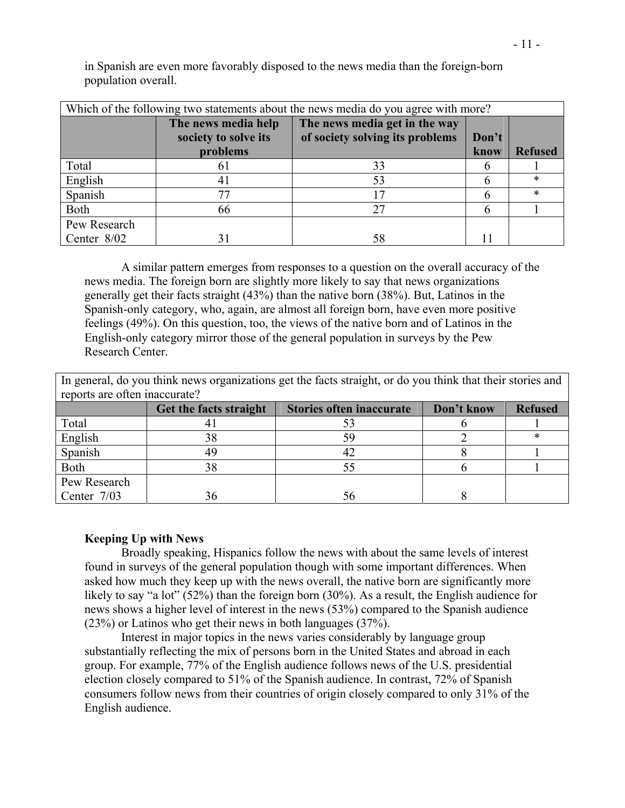in Spanish are even more favorably disposed to the news media than the foreign-born population overall.

| Which of the following two statements about the news media do you agree with more? |                      |                                 |       |                |  |
|------------------------------------------------------------------------------------|----------------------|---------------------------------|-------|----------------|--|
|                                                                                    | The news media help  | The news media get in the way   |       |                |  |
|                                                                                    | society to solve its | of society solving its problems | Don't |                |  |
|                                                                                    | problems             |                                 | know  | <b>Refused</b> |  |
| Total                                                                              | 01                   | 33                              |       |                |  |
| English                                                                            | 41                   | 53                              |       | *              |  |
| Spanish                                                                            | 77                   |                                 |       |                |  |
| Both                                                                               | 66                   | 27                              |       |                |  |
| Pew Research                                                                       |                      |                                 |       |                |  |
| Center 8/02                                                                        | 31                   | 58                              |       |                |  |

A similar pattern emerges from responses to a question on the overall accuracy of the news media. The foreign born are slightly more likely to say that news organizations

generally get their facts straight (43%) than the native born (38%). But, Latinos in the Spanish-only category, who, again, are almost all foreign born, have even more positive feelings (49%). On this question, too, the views of the native born and of Latinos in the English-only category mirror those of the general population in surveys by the Pew Research Center.

|                               | In general, do you think news organizations get the facts straight, or do you think that their stories and |                                 |            |                |  |  |
|-------------------------------|------------------------------------------------------------------------------------------------------------|---------------------------------|------------|----------------|--|--|
| reports are often inaccurate? |                                                                                                            |                                 |            |                |  |  |
|                               | Get the facts straight                                                                                     | <b>Stories often inaccurate</b> | Don't know | <b>Refused</b> |  |  |
| Total                         | 4                                                                                                          | 53                              |            |                |  |  |
| English                       | 38                                                                                                         | 59                              |            | ×              |  |  |
| Spanish                       | 49                                                                                                         |                                 |            |                |  |  |
| Both                          | 38                                                                                                         |                                 |            |                |  |  |
| Pew Research                  |                                                                                                            |                                 |            |                |  |  |
| Center 7/03                   | 36                                                                                                         |                                 |            |                |  |  |

### **Keeping Up with News**

 Broadly speaking, Hispanics follow the news with about the same levels of interest found in surveys of the general population though with some important differences. When asked how much they keep up with the news overall, the native born are significantly more likely to say "a lot" (52%) than the foreign born (30%). As a result, the English audience for news shows a higher level of interest in the news (53%) compared to the Spanish audience (23%) or Latinos who get their news in both languages (37%).

 Interest in major topics in the news varies considerably by language group substantially reflecting the mix of persons born in the United States and abroad in each group. For example, 77% of the English audience follows news of the U.S. presidential election closely compared to 51% of the Spanish audience. In contrast, 72% of Spanish consumers follow news from their countries of origin closely compared to only 31% of the English audience.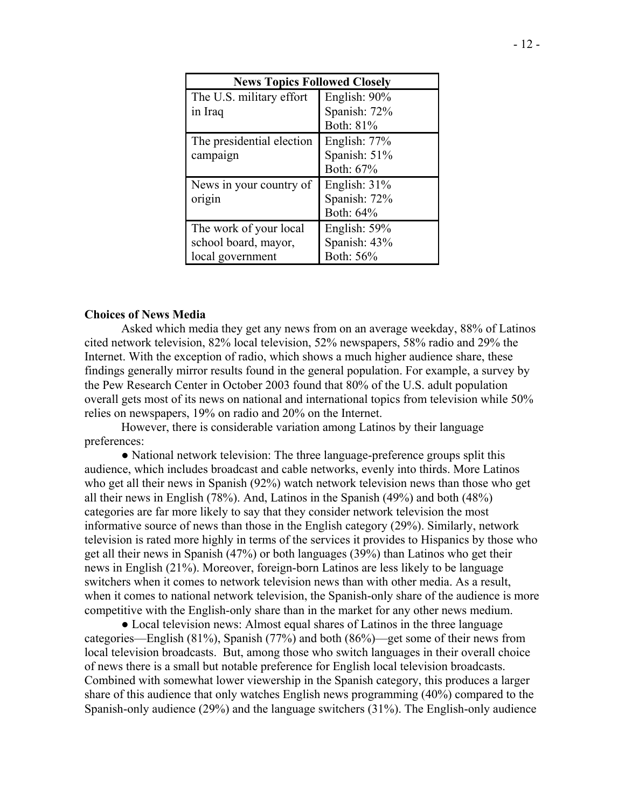| <b>News Topics Followed Closely</b>                                |                                                        |
|--------------------------------------------------------------------|--------------------------------------------------------|
| The U.S. military effort<br>in Iraq                                | English: 90%<br>Spanish: 72%                           |
| The presidential election<br>campaign                              | Both: 81%<br>English: 77%<br>Spanish: 51%<br>Both: 67% |
| News in your country of<br>origin                                  | English: $31\%$<br>Spanish: 72%<br>Both: 64%           |
| The work of your local<br>school board, mayor,<br>local government | English: 59%<br>Spanish: 43%<br>Both: 56%              |

#### **Choices of News Media**

Asked which media they get any news from on an average weekday, 88% of Latinos cited network television, 82% local television, 52% newspapers, 58% radio and 29% the Internet. With the exception of radio, which shows a much higher audience share, these findings generally mirror results found in the general population. For example, a survey by the Pew Research Center in October 2003 found that 80% of the U.S. adult population overall gets most of its news on national and international topics from television while 50% relies on newspapers, 19% on radio and 20% on the Internet.

However, there is considerable variation among Latinos by their language preferences:

● National network television: The three language-preference groups split this audience, which includes broadcast and cable networks, evenly into thirds. More Latinos who get all their news in Spanish (92%) watch network television news than those who get all their news in English (78%). And, Latinos in the Spanish (49%) and both (48%) categories are far more likely to say that they consider network television the most informative source of news than those in the English category (29%). Similarly, network television is rated more highly in terms of the services it provides to Hispanics by those who get all their news in Spanish (47%) or both languages (39%) than Latinos who get their news in English (21%). Moreover, foreign-born Latinos are less likely to be language switchers when it comes to network television news than with other media. As a result, when it comes to national network television, the Spanish-only share of the audience is more competitive with the English-only share than in the market for any other news medium.

• Local television news: Almost equal shares of Latinos in the three language categories—English (81%), Spanish (77%) and both (86%)—get some of their news from local television broadcasts. But, among those who switch languages in their overall choice of news there is a small but notable preference for English local television broadcasts. Combined with somewhat lower viewership in the Spanish category, this produces a larger share of this audience that only watches English news programming (40%) compared to the Spanish-only audience (29%) and the language switchers (31%). The English-only audience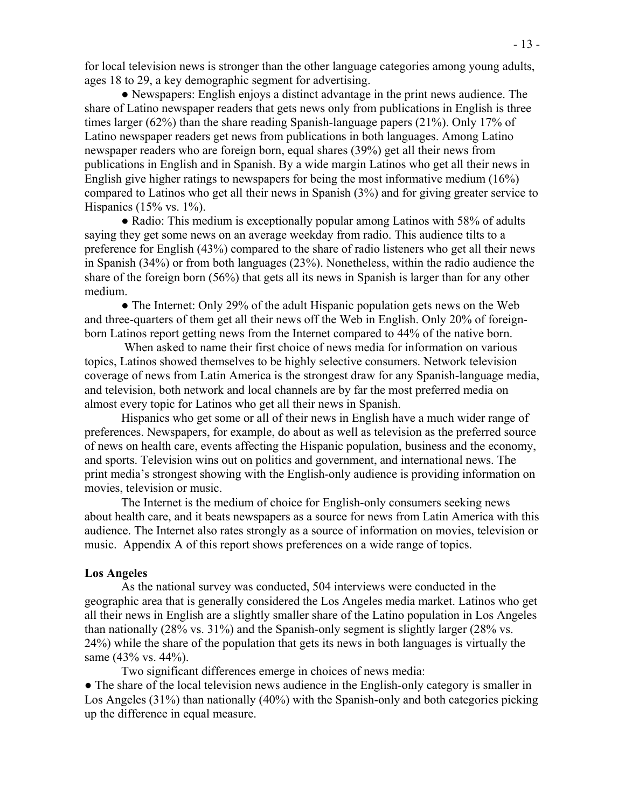for local television news is stronger than the other language categories among young adults, ages 18 to 29, a key demographic segment for advertising.

● Newspapers: English enjoys a distinct advantage in the print news audience. The share of Latino newspaper readers that gets news only from publications in English is three times larger (62%) than the share reading Spanish-language papers (21%). Only 17% of Latino newspaper readers get news from publications in both languages. Among Latino newspaper readers who are foreign born, equal shares (39%) get all their news from publications in English and in Spanish. By a wide margin Latinos who get all their news in English give higher ratings to newspapers for being the most informative medium (16%) compared to Latinos who get all their news in Spanish (3%) and for giving greater service to Hispanics (15% vs.  $1\%$ ).

• Radio: This medium is exceptionally popular among Latinos with 58% of adults saying they get some news on an average weekday from radio. This audience tilts to a preference for English (43%) compared to the share of radio listeners who get all their news in Spanish (34%) or from both languages (23%). Nonetheless, within the radio audience the share of the foreign born (56%) that gets all its news in Spanish is larger than for any other medium.

• The Internet: Only 29% of the adult Hispanic population gets news on the Web and three-quarters of them get all their news off the Web in English. Only 20% of foreignborn Latinos report getting news from the Internet compared to 44% of the native born.

 When asked to name their first choice of news media for information on various topics, Latinos showed themselves to be highly selective consumers. Network television coverage of news from Latin America is the strongest draw for any Spanish-language media, and television, both network and local channels are by far the most preferred media on almost every topic for Latinos who get all their news in Spanish.

Hispanics who get some or all of their news in English have a much wider range of preferences. Newspapers, for example, do about as well as television as the preferred source of news on health care, events affecting the Hispanic population, business and the economy, and sports. Television wins out on politics and government, and international news. The print media's strongest showing with the English-only audience is providing information on movies, television or music.

The Internet is the medium of choice for English-only consumers seeking news about health care, and it beats newspapers as a source for news from Latin America with this audience. The Internet also rates strongly as a source of information on movies, television or music. Appendix A of this report shows preferences on a wide range of topics.

#### **Los Angeles**

As the national survey was conducted, 504 interviews were conducted in the geographic area that is generally considered the Los Angeles media market. Latinos who get all their news in English are a slightly smaller share of the Latino population in Los Angeles than nationally (28% vs. 31%) and the Spanish-only segment is slightly larger (28% vs. 24%) while the share of the population that gets its news in both languages is virtually the same (43% vs. 44%).

Two significant differences emerge in choices of news media:

• The share of the local television news audience in the English-only category is smaller in Los Angeles (31%) than nationally (40%) with the Spanish-only and both categories picking up the difference in equal measure.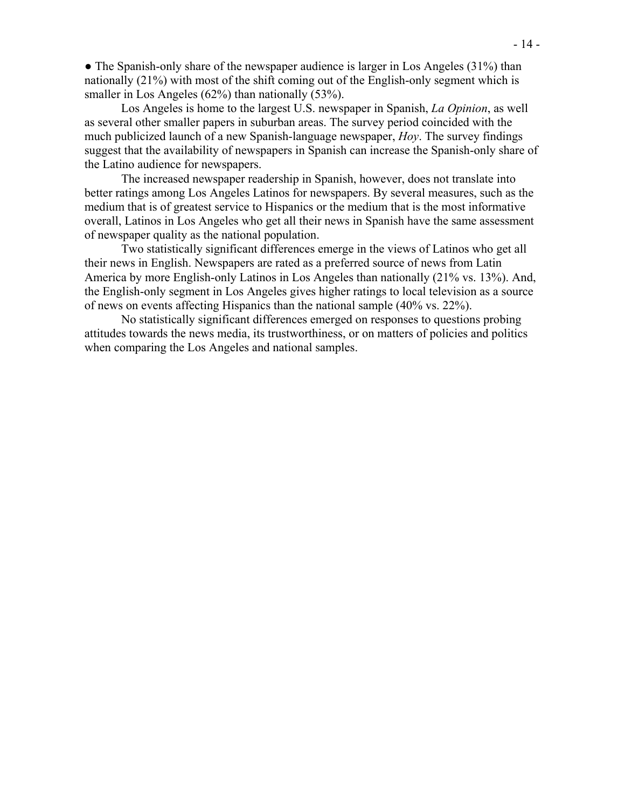• The Spanish-only share of the newspaper audience is larger in Los Angeles (31%) than nationally (21%) with most of the shift coming out of the English-only segment which is smaller in Los Angeles (62%) than nationally (53%).

 Los Angeles is home to the largest U.S. newspaper in Spanish, *La Opinion*, as well as several other smaller papers in suburban areas. The survey period coincided with the much publicized launch of a new Spanish-language newspaper, *Hoy*. The survey findings suggest that the availability of newspapers in Spanish can increase the Spanish-only share of the Latino audience for newspapers.

 The increased newspaper readership in Spanish, however, does not translate into better ratings among Los Angeles Latinos for newspapers. By several measures, such as the medium that is of greatest service to Hispanics or the medium that is the most informative overall, Latinos in Los Angeles who get all their news in Spanish have the same assessment of newspaper quality as the national population.

 Two statistically significant differences emerge in the views of Latinos who get all their news in English. Newspapers are rated as a preferred source of news from Latin America by more English-only Latinos in Los Angeles than nationally (21% vs. 13%). And, the English-only segment in Los Angeles gives higher ratings to local television as a source of news on events affecting Hispanics than the national sample (40% vs. 22%).

 No statistically significant differences emerged on responses to questions probing attitudes towards the news media, its trustworthiness, or on matters of policies and politics when comparing the Los Angeles and national samples.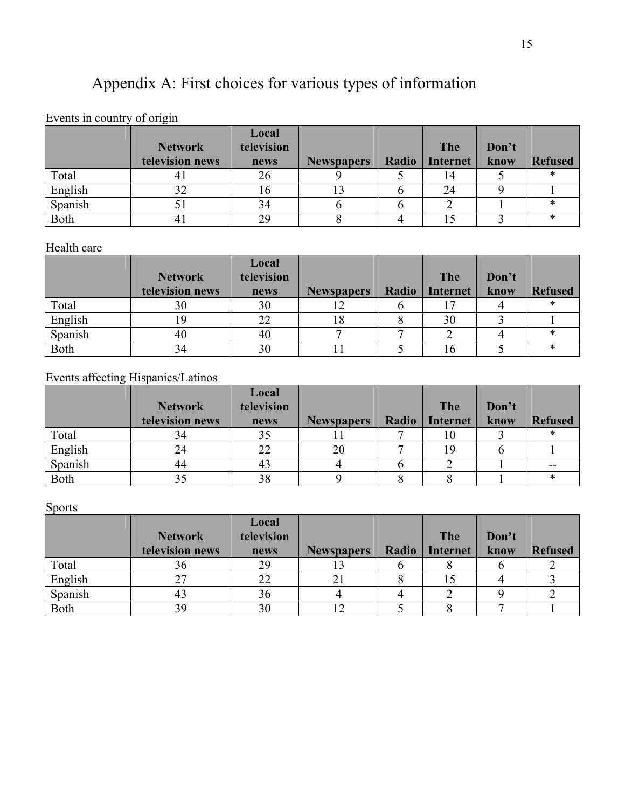# Appendix A: First choices for various types of information

## Events in country of origin

|             |                 | Local      |                   |       |                 |       |                |
|-------------|-----------------|------------|-------------------|-------|-----------------|-------|----------------|
|             | <b>Network</b>  | television |                   |       | The             | Don't |                |
|             | television news | news       | <b>Newspapers</b> | Radio | <b>Internet</b> | know  | <b>Refused</b> |
| Total       |                 | 26         |                   |       | 14              |       |                |
| English     | 22              | 1 O        |                   |       | 24              |       |                |
| Spanish     |                 | 34         |                   |       |                 |       |                |
| <b>Both</b> |                 | 29         |                   |       |                 |       | $\ast$         |

## Health care

|         |                 | Local      |                   |       |                 |       |                |
|---------|-----------------|------------|-------------------|-------|-----------------|-------|----------------|
|         | <b>Network</b>  | television |                   |       | The             | Don't |                |
|         | television news | news       | <b>Newspapers</b> | Radio | <b>Internet</b> | know  | <b>Refused</b> |
| Total   | 30              | 30         |                   |       |                 |       |                |
| English |                 | 22         | 18                |       | 30              |       |                |
| Spanish | 40              | 40         |                   |       |                 |       |                |
| Both    |                 | 30         |                   |       |                 |       | $\ast$         |

## Events affecting Hispanics/Latinos

|             |                 | Local      |                   |       |                 |       |                |
|-------------|-----------------|------------|-------------------|-------|-----------------|-------|----------------|
|             | <b>Network</b>  | television |                   |       | <b>The</b>      | Don't |                |
|             | television news | news       | <b>Newspapers</b> | Radio | <b>Internet</b> | know  | <b>Refused</b> |
| Total       | 34              | 35         |                   |       | 10              |       | $\ast$         |
| English     |                 | 22         | 20                |       | 19              |       |                |
| Spanish     | 44              | -43        |                   |       |                 |       | $- -$          |
| <b>Both</b> |                 | 38         |                   |       |                 |       | $\ast$         |

## **Sports**

|         |                                   | Local<br>television |                   |       |                        |               |                |
|---------|-----------------------------------|---------------------|-------------------|-------|------------------------|---------------|----------------|
|         | <b>Network</b><br>television news | news                | <b>Newspapers</b> | Radio | The<br><b>Internet</b> | Don't<br>know | <b>Refused</b> |
| Total   | 90                                | 29                  |                   |       |                        |               |                |
| English |                                   |                     |                   |       |                        |               |                |
| Spanish |                                   | 36                  |                   |       |                        |               |                |
| Both    |                                   | 30                  |                   |       |                        |               |                |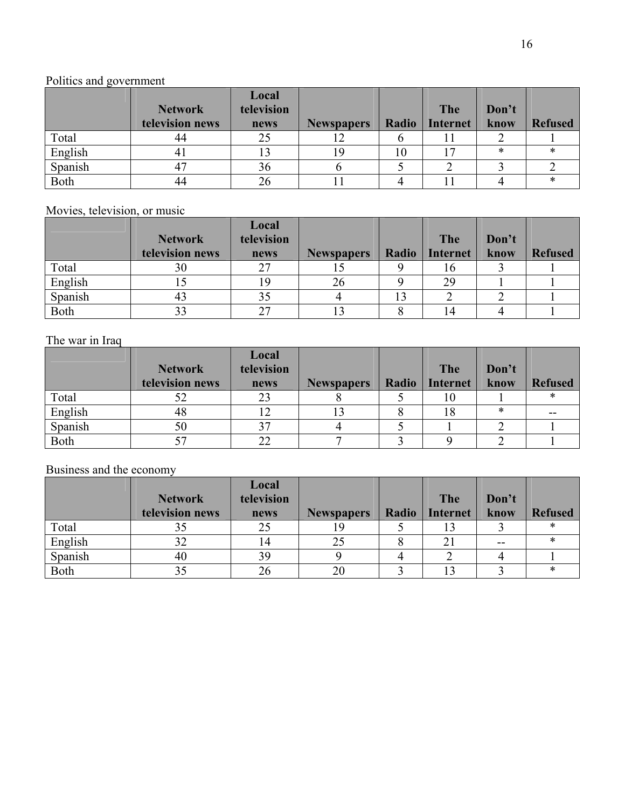## Politics and government

|         | <b>Network</b>  | Local<br>television |                   |       | <b>The</b>      | Don't |                |
|---------|-----------------|---------------------|-------------------|-------|-----------------|-------|----------------|
|         | television news | news                | <b>Newspapers</b> | Radio | <b>Internet</b> | know  | <b>Refused</b> |
| Total   | 44              | 25                  |                   |       |                 |       |                |
| English | 41              |                     |                   | 10    | 17              | ∗     | ∗              |
| Spanish |                 | 36                  |                   |       |                 |       |                |
| Both    | 44              | 26                  |                   |       |                 |       | ∗              |

Movies, television, or music

|             |                 | Local      |                   |       |                 |       |                |
|-------------|-----------------|------------|-------------------|-------|-----------------|-------|----------------|
|             | <b>Network</b>  | television |                   |       | The             | Don't |                |
|             | television news | news       | <b>Newspapers</b> | Radio | <b>Internet</b> | know  | <b>Refused</b> |
| Total       | 30              | 27         |                   |       | 10              |       |                |
| English     |                 | 19         | 26                |       | 29              |       |                |
| Spanish     |                 | 35         |                   |       |                 |       |                |
| <b>Both</b> |                 | 27         |                   |       | 14              |       |                |

## The war in Iraq

|             |                 | Local      |                   |       |                 |       |                |
|-------------|-----------------|------------|-------------------|-------|-----------------|-------|----------------|
|             | <b>Network</b>  | television |                   |       | The             | Don't |                |
|             | television news | news       | <b>Newspapers</b> | Radio | <b>Internet</b> | know  | <b>Refused</b> |
| Total       | 22              | 23         |                   |       | 10              |       | *              |
| English     | 48              |            |                   |       | 18              | *     | $- -$          |
| Spanish     | 50              | 37         |                   |       |                 |       |                |
| <b>Both</b> |                 | 22         |                   |       |                 |       |                |

Business and the economy

|             |                 | Local      |                   |       |                 |       |                |
|-------------|-----------------|------------|-------------------|-------|-----------------|-------|----------------|
|             | <b>Network</b>  | television |                   |       | <b>The</b>      | Don't |                |
|             | television news | news       | <b>Newspapers</b> | Radio | <b>Internet</b> | know  | <b>Refused</b> |
| Total       |                 |            |                   |       |                 |       |                |
| English     | ЭŹ              | 14         | 25                |       | 21              | $- -$ | ж              |
| Spanish     | 40              | 39         |                   |       |                 |       |                |
| <b>Both</b> |                 | 26         |                   |       |                 |       | ж              |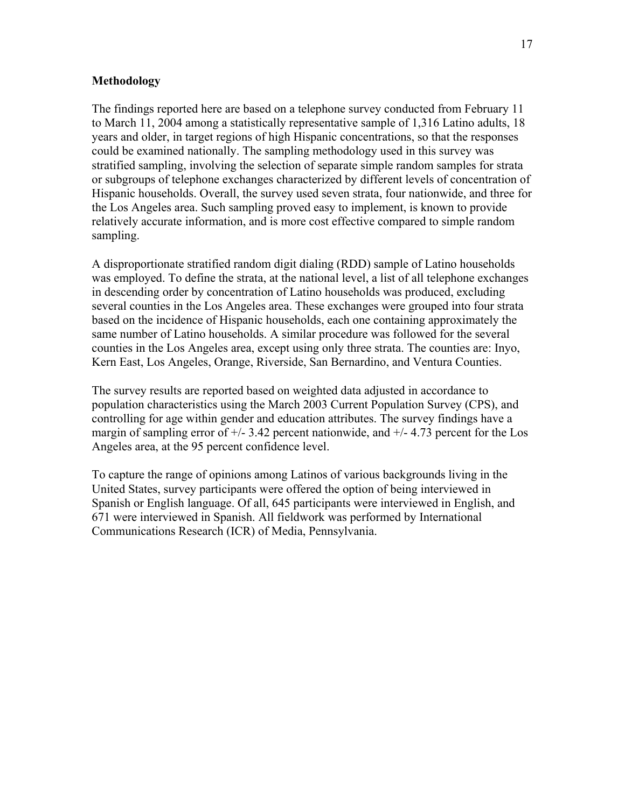#### **Methodology**

The findings reported here are based on a telephone survey conducted from February 11 to March 11, 2004 among a statistically representative sample of 1,316 Latino adults, 18 years and older, in target regions of high Hispanic concentrations, so that the responses could be examined nationally. The sampling methodology used in this survey was stratified sampling, involving the selection of separate simple random samples for strata or subgroups of telephone exchanges characterized by different levels of concentration of Hispanic households. Overall, the survey used seven strata, four nationwide, and three for the Los Angeles area. Such sampling proved easy to implement, is known to provide relatively accurate information, and is more cost effective compared to simple random sampling.

A disproportionate stratified random digit dialing (RDD) sample of Latino households was employed. To define the strata, at the national level, a list of all telephone exchanges in descending order by concentration of Latino households was produced, excluding several counties in the Los Angeles area. These exchanges were grouped into four strata based on the incidence of Hispanic households, each one containing approximately the same number of Latino households. A similar procedure was followed for the several counties in the Los Angeles area, except using only three strata. The counties are: Inyo, Kern East, Los Angeles, Orange, Riverside, San Bernardino, and Ventura Counties.

The survey results are reported based on weighted data adjusted in accordance to population characteristics using the March 2003 Current Population Survey (CPS), and controlling for age within gender and education attributes. The survey findings have a margin of sampling error of  $\pm$ /- 3.42 percent nationwide, and  $\pm$ /- 4.73 percent for the Los Angeles area, at the 95 percent confidence level.

To capture the range of opinions among Latinos of various backgrounds living in the United States, survey participants were offered the option of being interviewed in Spanish or English language. Of all, 645 participants were interviewed in English, and 671 were interviewed in Spanish. All fieldwork was performed by International Communications Research (ICR) of Media, Pennsylvania.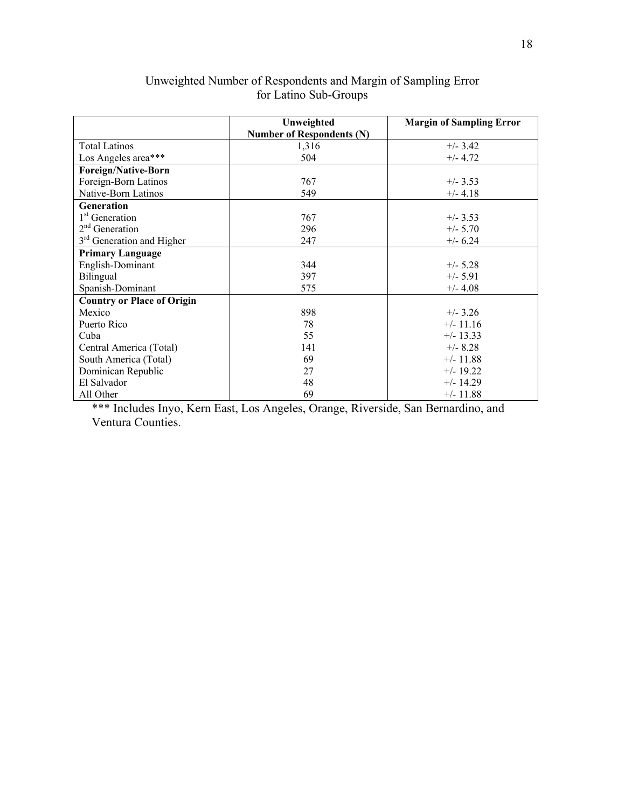|                                       | Unweighted                       | <b>Margin of Sampling Error</b> |
|---------------------------------------|----------------------------------|---------------------------------|
|                                       | <b>Number of Respondents (N)</b> |                                 |
| <b>Total Latinos</b>                  | 1,316                            | $+/- 3.42$                      |
| Los Angeles area***                   | 504                              | $+/- 4.72$                      |
| <b>Foreign/Native-Born</b>            |                                  |                                 |
| Foreign-Born Latinos                  | 767                              | $+/- 3.53$                      |
| Native-Born Latinos                   | 549                              | $+/- 4.18$                      |
| Generation                            |                                  |                                 |
| 1 <sup>st</sup> Generation            | 767                              | $+/- 3.53$                      |
| $2nd$ Generation                      | 296                              | $+/- 5.70$                      |
| 3 <sup>rd</sup> Generation and Higher | 247                              | $+/- 6.24$                      |
| <b>Primary Language</b>               |                                  |                                 |
| English-Dominant                      | 344                              | $+/- 5.28$                      |
| Bilingual                             | 397                              | $+/- 5.91$                      |
| Spanish-Dominant                      | 575                              | $+/- 4.08$                      |
| <b>Country or Place of Origin</b>     |                                  |                                 |
| Mexico                                | 898                              | $+/- 3.26$                      |
| Puerto Rico                           | 78                               | $+/- 11.16$                     |
| Cuba                                  | 55                               | $+/- 13.33$                     |
| Central America (Total)               | 141                              | $+/- 8.28$                      |
| South America (Total)                 | 69                               | $+/- 11.88$                     |
| Dominican Republic                    | 27                               | $+/- 19.22$                     |
| El Salvador                           | 48                               | $+/- 14.29$                     |
| All Other                             | 69                               | $+/- 11.88$                     |

#### Unweighted Number of Respondents and Margin of Sampling Error for Latino Sub-Groups

\*\*\* Includes Inyo, Kern East, Los Angeles, Orange, Riverside, San Bernardino, and Ventura Counties.